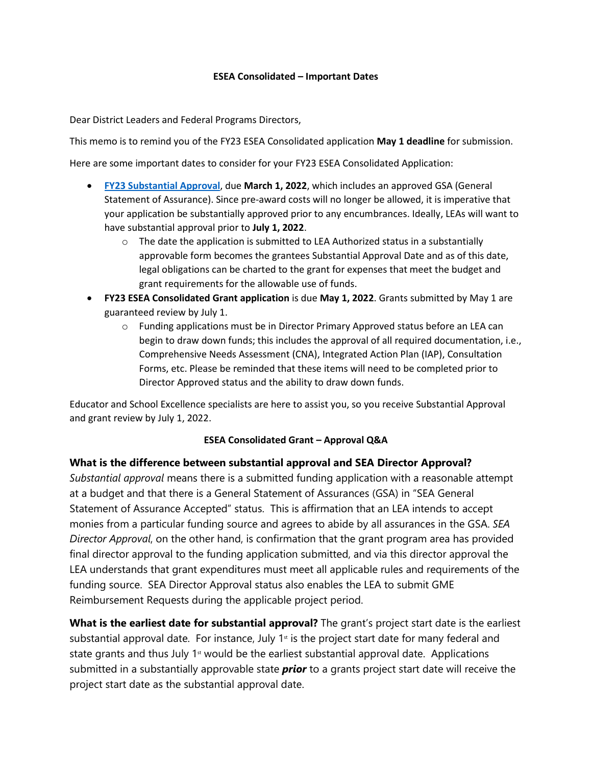## **ESEA Consolidated – Important Dates**

Dear District Leaders and Federal Programs Directors,

This memo is to remind you of the FY23 ESEA Consolidated application **May 1 deadline** for submission.

Here are some important dates to consider for your FY23 ESEA Consolidated Application:

- **[FY23 Substantial Approval](https://acrobat.adobe.com/link/review?uri=urn:aaid:scds:US:7d0a4990-6247-3c54-ae4d-d0e87ec10b76)**, due **March 1, 2022**, which includes an approved GSA (General Statement of Assurance). Since pre-award costs will no longer be allowed, it is imperative that your application be substantially approved prior to any encumbrances. Ideally, LEAs will want to have substantial approval prior to **July 1, 2022**.
	- $\circ$  The date the application is submitted to LEA Authorized status in a substantially approvable form becomes the grantees Substantial Approval Date and as of this date, legal obligations can be charted to the grant for expenses that meet the budget and grant requirements for the allowable use of funds.
- **FY23 ESEA Consolidated Grant application** is due **May 1, 2022**. Grants submitted by May 1 are guaranteed review by July 1.
	- o Funding applications must be in Director Primary Approved status before an LEA can begin to draw down funds; this includes the approval of all required documentation, i.e., Comprehensive Needs Assessment (CNA), Integrated Action Plan (IAP), Consultation Forms, etc. Please be reminded that these items will need to be completed prior to Director Approved status and the ability to draw down funds.

Educator and School Excellence specialists are here to assist you, so you receive Substantial Approval and grant review by July 1, 2022.

## **ESEA Consolidated Grant – Approval Q&A**

## **What is the difference between substantial approval and SEA Director Approval?**

*Substantial approval* means there is a submitted funding application with a reasonable attempt at a budget and that there is a General Statement of Assurances (GSA) in "SEA General Statement of Assurance Accepted" status. This is affirmation that an LEA intends to accept monies from a particular funding source and agrees to abide by all assurances in the GSA. *SEA Director Approval*, on the other hand, is confirmation that the grant program area has provided final director approval to the funding application submitted, and via this director approval the LEA understands that grant expenditures must meet all applicable rules and requirements of the funding source. SEA Director Approval status also enables the LEA to submit GME Reimbursement Requests during the applicable project period.

**What is the earliest date for substantial approval?** The grant's project start date is the earliest substantial approval date. For instance, July  $1<sup>st</sup>$  is the project start date for many federal and state grants and thus July  $1<sup>st</sup>$  would be the earliest substantial approval date. Applications submitted in a substantially approvable state *prior* to a grants project start date will receive the project start date as the substantial approval date.